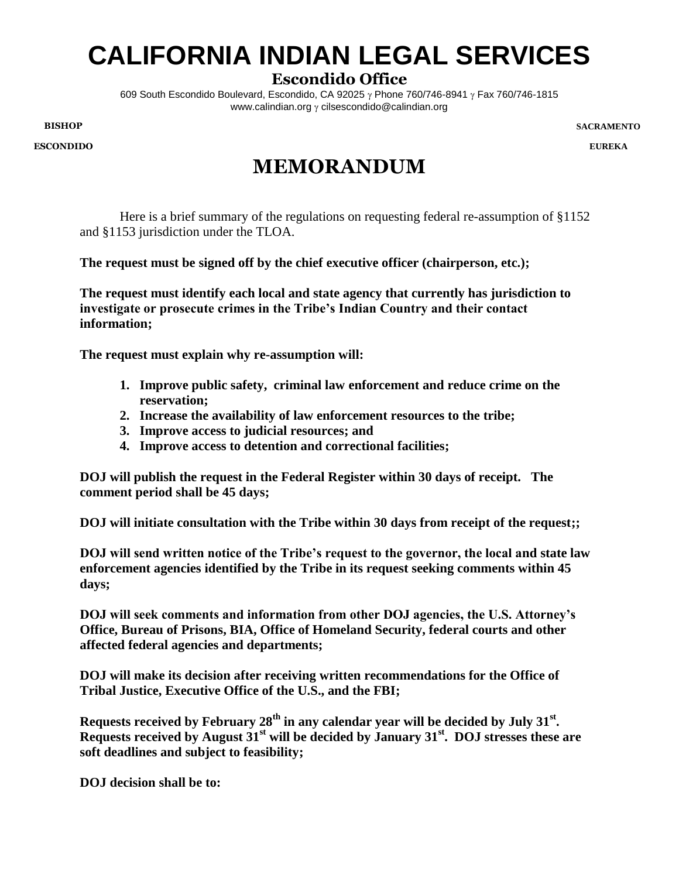## **CALIFORNIA INDIAN LEGAL SERVICES**

## **Escondido Office**

609 South Escondido Boulevard, Escondido, CA 92025  $\gamma$  Phone 760/746-8941  $\gamma$  Fax 760/746-1815 www.calindian.org  $\gamma$  cilsescondido@calindian.org

**BISHOP**

**ESCONDIDO**

**SACRAMENTO**

**EUREKA**

## **MEMORANDUM**

Here is a brief summary of the regulations on requesting federal re-assumption of §1152 and §1153 jurisdiction under the TLOA.

**The request must be signed off by the chief executive officer (chairperson, etc.);**

**The request must identify each local and state agency that currently has jurisdiction to investigate or prosecute crimes in the Tribe's Indian Country and their contact information;**

**The request must explain why re-assumption will:** 

- **1. Improve public safety, criminal law enforcement and reduce crime on the reservation;**
- **2. Increase the availability of law enforcement resources to the tribe;**
- **3. Improve access to judicial resources; and**
- **4. Improve access to detention and correctional facilities;**

**DOJ will publish the request in the Federal Register within 30 days of receipt. The comment period shall be 45 days;**

**DOJ will initiate consultation with the Tribe within 30 days from receipt of the request;;**

**DOJ will send written notice of the Tribe's request to the governor, the local and state law enforcement agencies identified by the Tribe in its request seeking comments within 45 days;**

**DOJ will seek comments and information from other DOJ agencies, the U.S. Attorney's Office, Bureau of Prisons, BIA, Office of Homeland Security, federal courts and other affected federal agencies and departments;**

**DOJ will make its decision after receiving written recommendations for the Office of Tribal Justice, Executive Office of the U.S., and the FBI;**

**Requests received by February 28th in any calendar year will be decided by July 31st . Requests received by August 31st will be decided by January 31st. DOJ stresses these are soft deadlines and subject to feasibility;** 

**DOJ decision shall be to:**